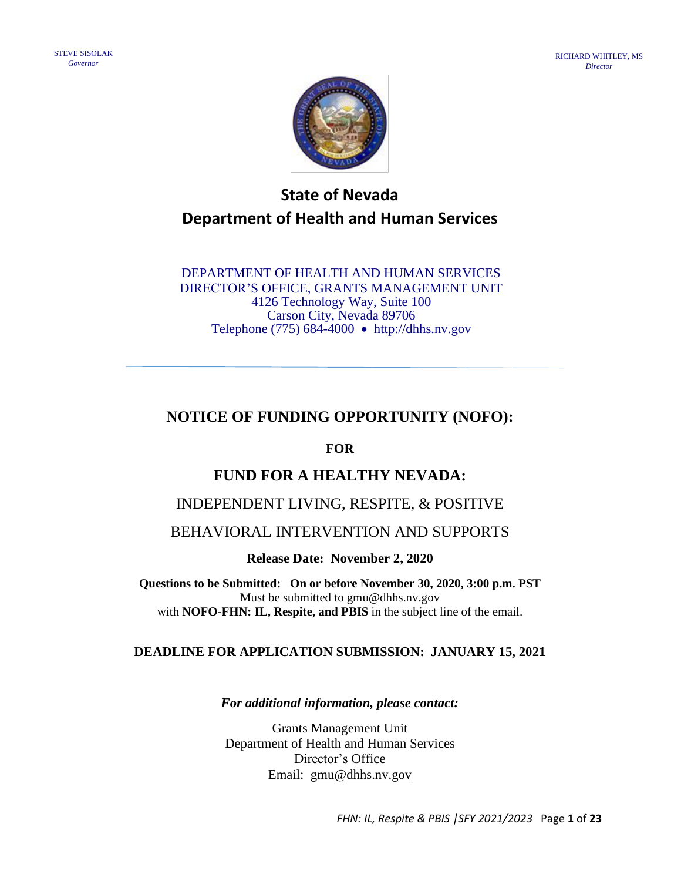

# **State of Nevada Department of Health and Human Services**

DEPARTMENT OF HEALTH AND HUMAN SERVICES DIRECTOR'S OFFICE, GRANTS MANAGEMENT UNIT 4126 Technology Way, Suite 100 Carson City, Nevada 89706 Telephone (775) 684-4000 • http://dhhs.nv.gov

## **NOTICE OF FUNDING OPPORTUNITY (NOFO):**

## **FOR**

## **FUND FOR A HEALTHY NEVADA:**

## INDEPENDENT LIVING, RESPITE, & POSITIVE

## BEHAVIORAL INTERVENTION AND SUPPORTS

**Release Date: November 2, 2020**

**Questions to be Submitted: On or before November 30, 2020, 3:00 p.m. PST** Must be submitted to gmu@dhhs.nv.gov with **NOFO-FHN: IL, Respite, and PBIS** in the subject line of the email.

### **DEADLINE FOR APPLICATION SUBMISSION: JANUARY 15, 2021**

*For additional information, please contact:*

Grants Management Unit Department of Health and Human Services Director's Office Email: [gmu@dhhs.nv.gov](mailto:gmu@dhhs.nv.gov)

*FHN: IL, Respite & PBIS |SFY 2021/2023* Page **1** of **23**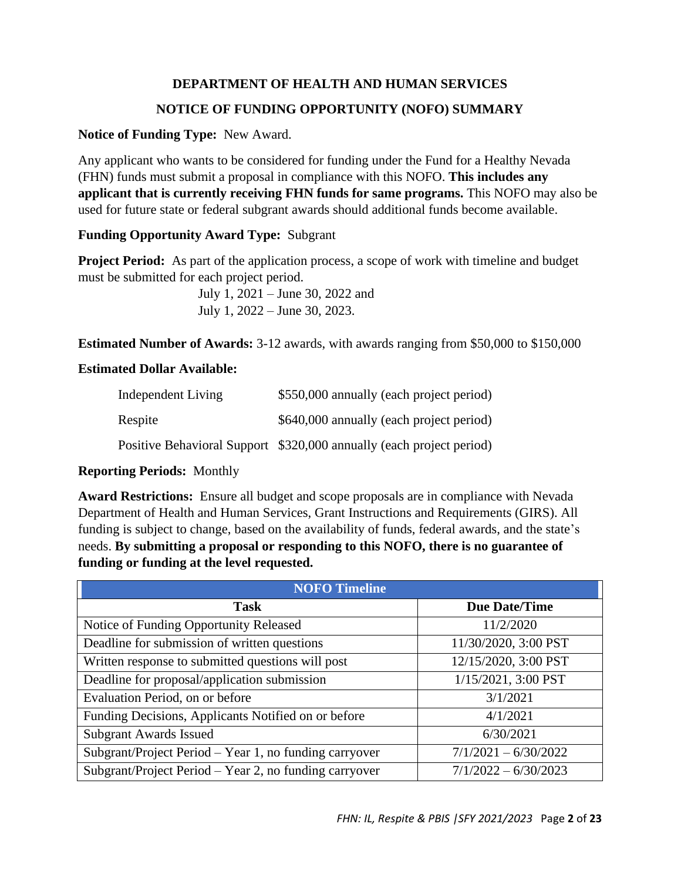### **DEPARTMENT OF HEALTH AND HUMAN SERVICES**

### **NOTICE OF FUNDING OPPORTUNITY (NOFO) SUMMARY**

#### **Notice of Funding Type:** New Award.

Any applicant who wants to be considered for funding under the Fund for a Healthy Nevada (FHN) funds must submit a proposal in compliance with this NOFO. **This includes any applicant that is currently receiving FHN funds for same programs.** This NOFO may also be used for future state or federal subgrant awards should additional funds become available.

### **Funding Opportunity Award Type:** Subgrant

**Project Period:** As part of the application process, a scope of work with timeline and budget must be submitted for each project period.

> July 1, 2021 – June 30, 2022 and July 1, 2022 – June 30, 2023.

**Estimated Number of Awards:** 3-12 awards, with awards ranging from \$50,000 to \$150,000

#### **Estimated Dollar Available:**

| Independent Living | \$550,000 annually (each project period)                             |
|--------------------|----------------------------------------------------------------------|
| Respite            | \$640,000 annually (each project period)                             |
|                    | Positive Behavioral Support \$320,000 annually (each project period) |

### **Reporting Periods:** Monthly

**Award Restrictions:** Ensure all budget and scope proposals are in compliance with Nevada Department of Health and Human Services, Grant Instructions and Requirements (GIRS). All funding is subject to change, based on the availability of funds, federal awards, and the state's needs. **By submitting a proposal or responding to this NOFO, there is no guarantee of funding or funding at the level requested.** 

| <b>NOFO</b> Timeline                                   |                        |
|--------------------------------------------------------|------------------------|
| <b>Task</b>                                            | <b>Due Date/Time</b>   |
| Notice of Funding Opportunity Released                 | 11/2/2020              |
| Deadline for submission of written questions           | 11/30/2020, 3:00 PST   |
| Written response to submitted questions will post      | 12/15/2020, 3:00 PST   |
| Deadline for proposal/application submission           | 1/15/2021, 3:00 PST    |
| Evaluation Period, on or before                        | 3/1/2021               |
| Funding Decisions, Applicants Notified on or before    | 4/1/2021               |
| <b>Subgrant Awards Issued</b>                          | 6/30/2021              |
| Subgrant/Project Period - Year 1, no funding carryover | $7/1/2021 - 6/30/2022$ |
| Subgrant/Project Period – Year 2, no funding carryover | $7/1/2022 - 6/30/2023$ |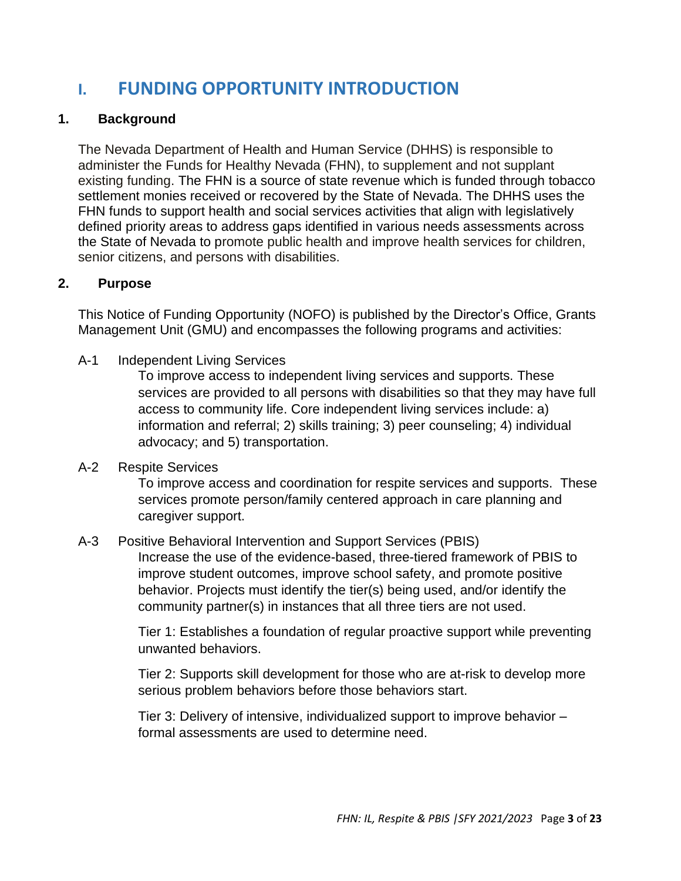# **I. FUNDING OPPORTUNITY INTRODUCTION**

## **1. Background**

The Nevada Department of Health and Human Service (DHHS) is responsible to administer the Funds for Healthy Nevada (FHN), to supplement and not supplant existing funding. The FHN is a source of state revenue which is funded through tobacco settlement monies received or recovered by the State of Nevada. The DHHS uses the FHN funds to support health and social services activities that align with legislatively defined priority areas to address gaps identified in various needs assessments across the State of Nevada to promote public health and improve health services for children, senior citizens, and persons with disabilities.

## **2. Purpose**

This Notice of Funding Opportunity (NOFO) is published by the Director's Office, Grants Management Unit (GMU) and encompasses the following programs and activities:

A-1 Independent Living Services

To improve access to independent living services and supports. These services are provided to all persons with disabilities so that they may have full access to community life. Core independent living services include: a) information and referral; 2) skills training; 3) peer counseling; 4) individual advocacy; and 5) transportation.

A-2 Respite Services

To improve access and coordination for respite services and supports. These services promote person/family centered approach in care planning and caregiver support.

## A-3 Positive Behavioral Intervention and Support Services (PBIS)

Increase the use of the evidence-based, three-tiered framework of PBIS to improve student outcomes, improve school safety, and promote positive behavior. Projects must identify the tier(s) being used, and/or identify the community partner(s) in instances that all three tiers are not used.

Tier 1: Establishes a foundation of regular proactive support while preventing unwanted behaviors.

Tier 2: Supports skill development for those who are at-risk to develop more serious problem behaviors before those behaviors start.

Tier 3: Delivery of intensive, individualized support to improve behavior – formal assessments are used to determine need.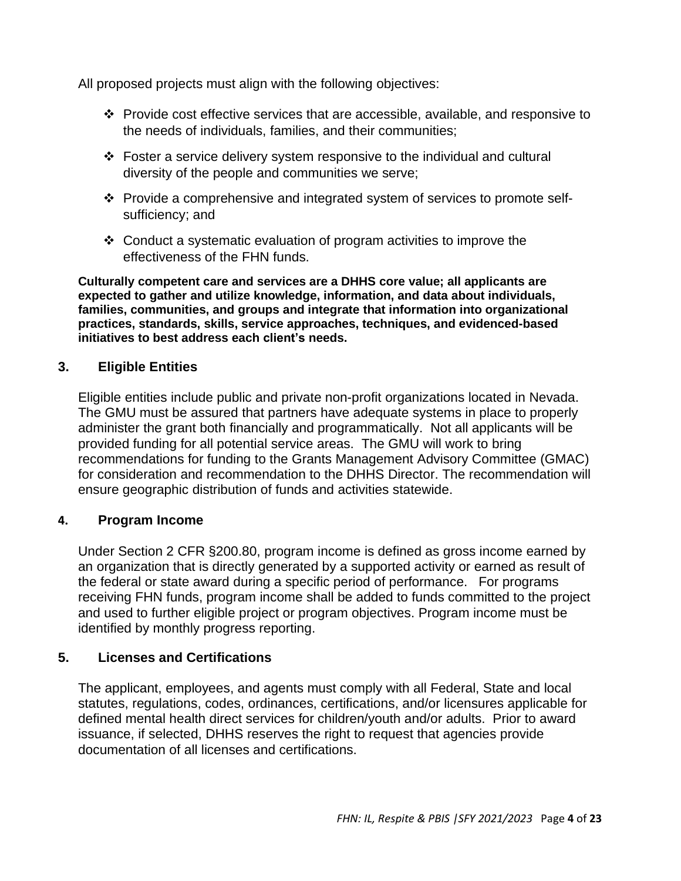All proposed projects must align with the following objectives:

- ❖ Provide cost effective services that are accessible, available, and responsive to the needs of individuals, families, and their communities;
- ❖ Foster a service delivery system responsive to the individual and cultural diversity of the people and communities we serve;
- ❖ Provide a comprehensive and integrated system of services to promote selfsufficiency; and
- ❖ Conduct a systematic evaluation of program activities to improve the effectiveness of the FHN funds.

**Culturally competent care and services are a DHHS core value; all applicants are expected to gather and utilize knowledge, information, and data about individuals, families, communities, and groups and integrate that information into organizational practices, standards, skills, service approaches, techniques, and evidenced-based initiatives to best address each client's needs.**

## **3. Eligible Entities**

Eligible entities include public and private non-profit organizations located in Nevada. The GMU must be assured that partners have adequate systems in place to properly administer the grant both financially and programmatically. Not all applicants will be provided funding for all potential service areas. The GMU will work to bring recommendations for funding to the Grants Management Advisory Committee (GMAC) for consideration and recommendation to the DHHS Director. The recommendation will ensure geographic distribution of funds and activities statewide.

### **4. Program Income**

Under Section 2 CFR §200.80, program income is defined as gross income earned by an organization that is directly generated by a supported activity or earned as result of the federal or state award during a specific period of performance. For programs receiving FHN funds, program income shall be added to funds committed to the project and used to further eligible project or program objectives. Program income must be identified by monthly progress reporting.

## **5. Licenses and Certifications**

The applicant, employees, and agents must comply with all Federal, State and local statutes, regulations, codes, ordinances, certifications, and/or licensures applicable for defined mental health direct services for children/youth and/or adults. Prior to award issuance, if selected, DHHS reserves the right to request that agencies provide documentation of all licenses and certifications.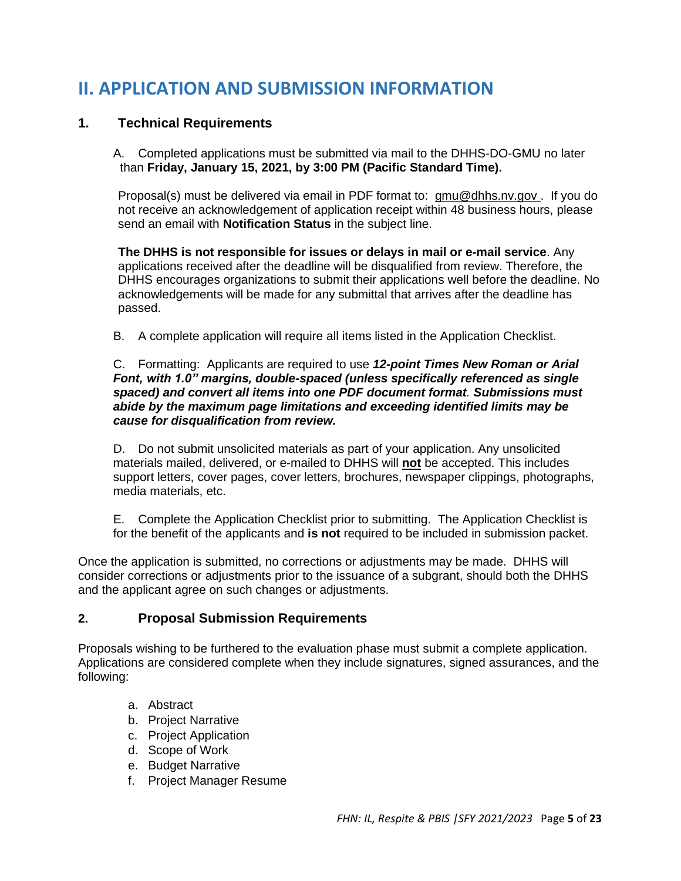# **II. APPLICATION AND SUBMISSION INFORMATION**

### **1. Technical Requirements**

A. Completed applications must be submitted via mail to the DHHS-DO-GMU no later than **Friday, January 15, 2021, by 3:00 PM (Pacific Standard Time).**

Proposal(s) must be delivered via email in PDF format to: [gmu@dhhs.nv.gov .](mailto:gmu@dhhs.nv.gov) If you do not receive an acknowledgement of application receipt within 48 business hours, please send an email with **Notification Status** in the subject line.

**The DHHS is not responsible for issues or delays in mail or e-mail service**. Any applications received after the deadline will be disqualified from review. Therefore, the DHHS encourages organizations to submit their applications well before the deadline. No acknowledgements will be made for any submittal that arrives after the deadline has passed.

B. A complete application will require all items listed in the Application Checklist.

#### C. Formatting: Applicants are required to use *12-point Times New Roman or Arial Font, with 1.0" margins, double-spaced (unless specifically referenced as single spaced) and convert all items into one PDF document format. Submissions must abide by the maximum page limitations and exceeding identified limits may be cause for disqualification from review.*

D. Do not submit unsolicited materials as part of your application. Any unsolicited materials mailed, delivered, or e-mailed to DHHS will **not** be accepted. This includes support letters, cover pages, cover letters, brochures, newspaper clippings, photographs, media materials, etc.

E. Complete the Application Checklist prior to submitting. The Application Checklist is for the benefit of the applicants and **is not** required to be included in submission packet.

Once the application is submitted, no corrections or adjustments may be made. DHHS will consider corrections or adjustments prior to the issuance of a subgrant, should both the DHHS and the applicant agree on such changes or adjustments.

### **2. Proposal Submission Requirements**

Proposals wishing to be furthered to the evaluation phase must submit a complete application. Applications are considered complete when they include signatures, signed assurances, and the following:

- a. Abstract
- b. Project Narrative
- c. Project Application
- d. Scope of Work
- e. Budget Narrative
- f. Project Manager Resume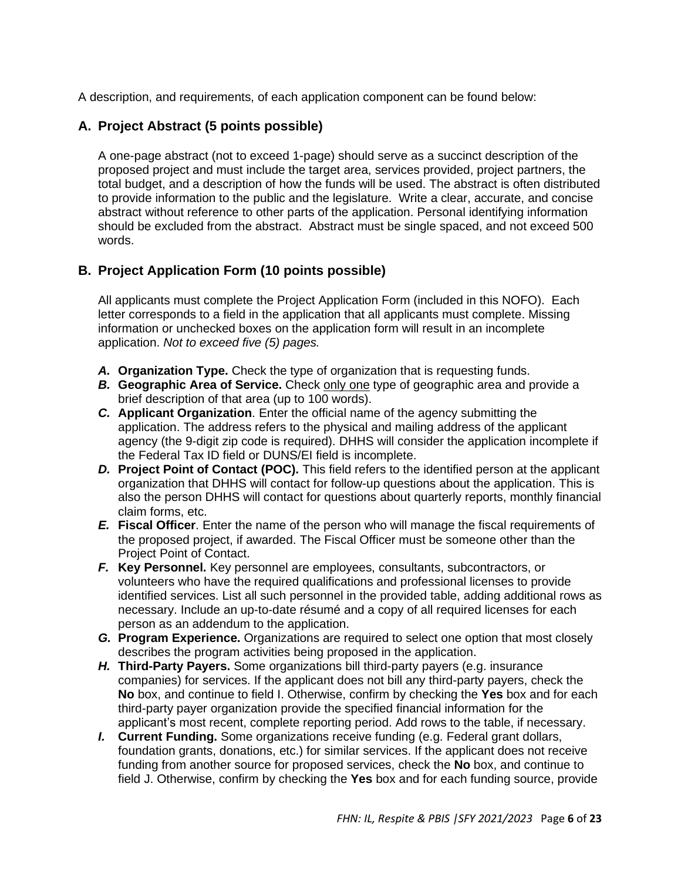A description, and requirements, of each application component can be found below:

## **A. Project Abstract (5 points possible)**

A one-page abstract (not to exceed 1-page) should serve as a succinct description of the proposed project and must include the target area, services provided, project partners, the total budget, and a description of how the funds will be used. The abstract is often distributed to provide information to the public and the legislature. Write a clear, accurate, and concise abstract without reference to other parts of the application. Personal identifying information should be excluded from the abstract. Abstract must be single spaced, and not exceed 500 words.

## **B. Project Application Form (10 points possible)**

All applicants must complete the Project Application Form (included in this NOFO). Each letter corresponds to a field in the application that all applicants must complete. Missing information or unchecked boxes on the application form will result in an incomplete application. *Not to exceed five (5) pages.*

- *A.* **Organization Type.** Check the type of organization that is requesting funds.
- *B.* **Geographic Area of Service.** Check only one type of geographic area and provide a brief description of that area (up to 100 words).
- *C.* **Applicant Organization**. Enter the official name of the agency submitting the application. The address refers to the physical and mailing address of the applicant agency (the 9-digit zip code is required). DHHS will consider the application incomplete if the Federal Tax ID field or DUNS/EI field is incomplete.
- *D.* **Project Point of Contact (POC).** This field refers to the identified person at the applicant organization that DHHS will contact for follow-up questions about the application. This is also the person DHHS will contact for questions about quarterly reports, monthly financial claim forms, etc.
- *E.* **Fiscal Officer**. Enter the name of the person who will manage the fiscal requirements of the proposed project, if awarded. The Fiscal Officer must be someone other than the Project Point of Contact.
- *F.* **Key Personnel.** Key personnel are employees, consultants, subcontractors, or volunteers who have the required qualifications and professional licenses to provide identified services. List all such personnel in the provided table, adding additional rows as necessary. Include an up-to-date résumé and a copy of all required licenses for each person as an addendum to the application.
- *G.* **Program Experience.** Organizations are required to select one option that most closely describes the program activities being proposed in the application.
- *H.* **Third-Party Payers.** Some organizations bill third-party payers (e.g. insurance companies) for services. If the applicant does not bill any third-party payers, check the **No** box, and continue to field I. Otherwise, confirm by checking the **Yes** box and for each third-party payer organization provide the specified financial information for the applicant's most recent, complete reporting period. Add rows to the table, if necessary.
- *I.* **Current Funding.** Some organizations receive funding (e.g. Federal grant dollars, foundation grants, donations, etc.) for similar services. If the applicant does not receive funding from another source for proposed services, check the **No** box, and continue to field J. Otherwise, confirm by checking the **Yes** box and for each funding source, provide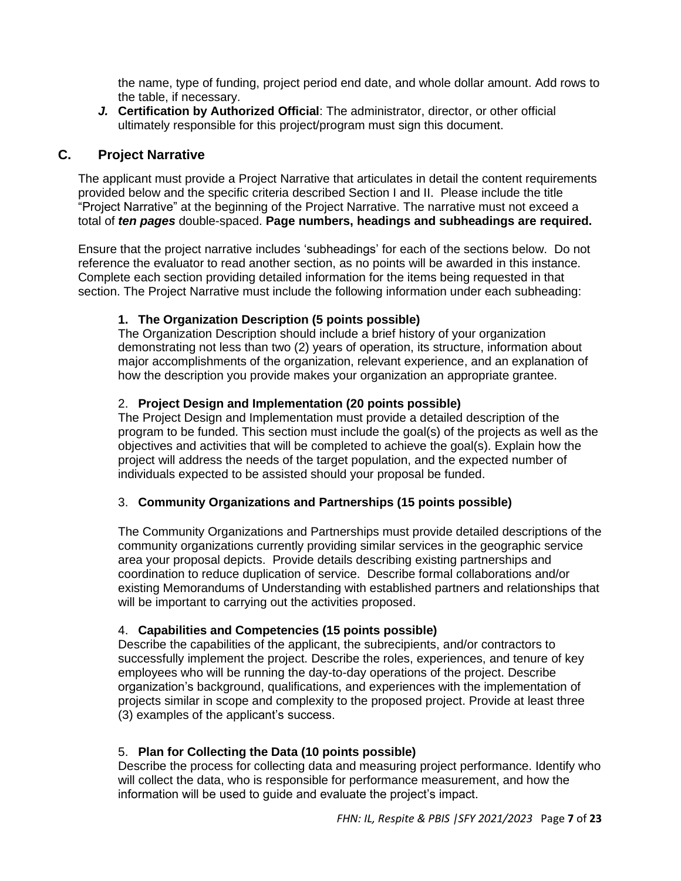the name, type of funding, project period end date, and whole dollar amount. Add rows to the table, if necessary.

*J.* **Certification by Authorized Official**: The administrator, director, or other official ultimately responsible for this project/program must sign this document.

#### **C. Project Narrative**

The applicant must provide a Project Narrative that articulates in detail the content requirements provided below and the specific criteria described Section I and II. Please include the title "Project Narrative" at the beginning of the Project Narrative. The narrative must not exceed a total of *ten pages* double-spaced. **Page numbers, headings and subheadings are required.**

Ensure that the project narrative includes 'subheadings' for each of the sections below. Do not reference the evaluator to read another section, as no points will be awarded in this instance. Complete each section providing detailed information for the items being requested in that section. The Project Narrative must include the following information under each subheading:

#### **1. The Organization Description (5 points possible)**

The Organization Description should include a brief history of your organization demonstrating not less than two (2) years of operation, its structure, information about major accomplishments of the organization, relevant experience, and an explanation of how the description you provide makes your organization an appropriate grantee.

#### 2. **Project Design and Implementation (20 points possible)**

The Project Design and Implementation must provide a detailed description of the program to be funded. This section must include the goal(s) of the projects as well as the objectives and activities that will be completed to achieve the goal(s). Explain how the project will address the needs of the target population, and the expected number of individuals expected to be assisted should your proposal be funded.

#### 3. **Community Organizations and Partnerships (15 points possible)**

The Community Organizations and Partnerships must provide detailed descriptions of the community organizations currently providing similar services in the geographic service area your proposal depicts. Provide details describing existing partnerships and coordination to reduce duplication of service. Describe formal collaborations and/or existing Memorandums of Understanding with established partners and relationships that will be important to carrying out the activities proposed.

#### 4. **Capabilities and Competencies (15 points possible)**

Describe the capabilities of the applicant, the subrecipients, and/or contractors to successfully implement the project. Describe the roles, experiences, and tenure of key employees who will be running the day-to-day operations of the project. Describe organization's background, qualifications, and experiences with the implementation of projects similar in scope and complexity to the proposed project. Provide at least three (3) examples of the applicant's success.

#### 5. **Plan for Collecting the Data (10 points possible)**

Describe the process for collecting data and measuring project performance. Identify who will collect the data, who is responsible for performance measurement, and how the information will be used to guide and evaluate the project's impact.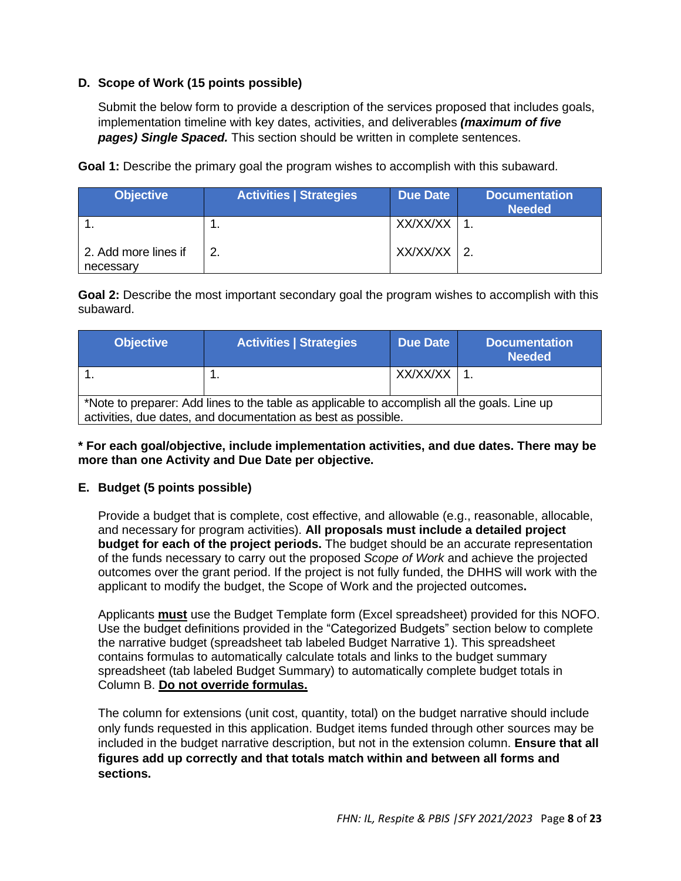#### **D. Scope of Work (15 points possible)**

Submit the below form to provide a description of the services proposed that includes goals, implementation timeline with key dates, activities, and deliverables *(maximum of five pages) Single Spaced.* This section should be written in complete sentences.

**Goal 1:** Describe the primary goal the program wishes to accomplish with this subaward.

| <b>Objective</b>                  | <b>Activities   Strategies</b> | <b>Due Date</b> | <b>Documentation</b><br><b>Needed</b> |
|-----------------------------------|--------------------------------|-----------------|---------------------------------------|
|                                   |                                | XX/XX/XX        |                                       |
| 2. Add more lines if<br>necessary |                                | XX/XX/XX        |                                       |

**Goal 2:** Describe the most important secondary goal the program wishes to accomplish with this subaward.

| <b>Objective</b>                                                                                                                                              | <b>Activities   Strategies</b> | Due Date | <b>Documentation</b><br><b>Needed</b> |  |  |  |  |
|---------------------------------------------------------------------------------------------------------------------------------------------------------------|--------------------------------|----------|---------------------------------------|--|--|--|--|
|                                                                                                                                                               |                                | XX/XX/XX |                                       |  |  |  |  |
| *Note to preparer: Add lines to the table as applicable to accomplish all the goals. Line up<br>activities, due dates, and documentation as best as possible. |                                |          |                                       |  |  |  |  |

#### **\* For each goal/objective, include implementation activities, and due dates. There may be more than one Activity and Due Date per objective.**

#### **E. Budget (5 points possible)**

Provide a budget that is complete, cost effective, and allowable (e.g., reasonable, allocable, and necessary for program activities). **All proposals must include a detailed project budget for each of the project periods.** The budget should be an accurate representation of the funds necessary to carry out the proposed *Scope of Work* and achieve the projected outcomes over the grant period. If the project is not fully funded, the DHHS will work with the applicant to modify the budget, the Scope of Work and the projected outcomes**.**

Applicants **must** use the Budget Template form (Excel spreadsheet) provided for this NOFO. Use the budget definitions provided in the "Categorized Budgets" section below to complete the narrative budget (spreadsheet tab labeled Budget Narrative 1). This spreadsheet contains formulas to automatically calculate totals and links to the budget summary spreadsheet (tab labeled Budget Summary) to automatically complete budget totals in Column B. **Do not override formulas.**

The column for extensions (unit cost, quantity, total) on the budget narrative should include only funds requested in this application. Budget items funded through other sources may be included in the budget narrative description, but not in the extension column. **Ensure that all figures add up correctly and that totals match within and between all forms and sections.**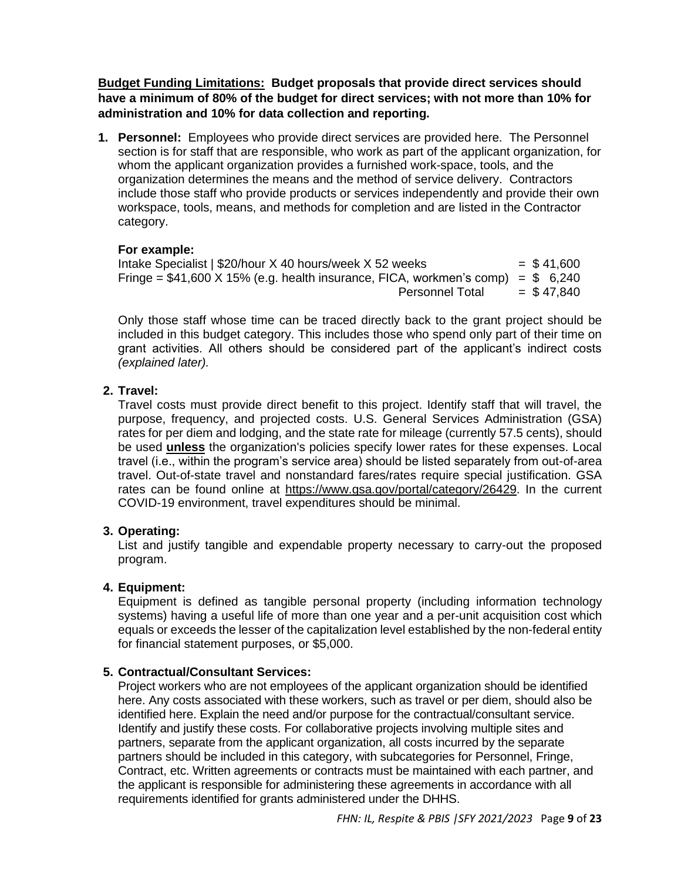**Budget Funding Limitations: Budget proposals that provide direct services should have a minimum of 80% of the budget for direct services; with not more than 10% for administration and 10% for data collection and reporting.**

**1. Personnel:** Employees who provide direct services are provided here. The Personnel section is for staff that are responsible, who work as part of the applicant organization, for whom the applicant organization provides a furnished work-space, tools, and the organization determines the means and the method of service delivery. Contractors include those staff who provide products or services independently and provide their own workspace, tools, means, and methods for completion and are listed in the Contractor category.

#### **For example:**

Intake Specialist |  $$20/h$ our X 40 hours/week X 52 weeks =  $$41,600$ Fringe =  $$41,600$  X 15% (e.g. health insurance, FICA, workmen's comp) =  $$6,240$ Personnel Total  $= $47.840$ 

Only those staff whose time can be traced directly back to the grant project should be included in this budget category. This includes those who spend only part of their time on grant activities. All others should be considered part of the applicant's indirect costs *(explained later).*

#### **2. Travel:**

Travel costs must provide direct benefit to this project. Identify staff that will travel, the purpose, frequency, and projected costs. U.S. General Services Administration (GSA) rates for per diem and lodging, and the state rate for mileage (currently 57.5 cents), should be used **unless** the organization's policies specify lower rates for these expenses. Local travel (i.e., within the program's service area) should be listed separately from out-of-area travel. Out-of-state travel and nonstandard fares/rates require special justification. GSA rates can be found online at [https://www.gsa.gov/portal/category/26429.](https://www.gsa.gov/portal/category/26429) In the current COVID-19 environment, travel expenditures should be minimal.

#### **3. Operating:**

List and justify tangible and expendable property necessary to carry-out the proposed program.

#### **4. Equipment:**

Equipment is defined as tangible personal property (including information technology systems) having a useful life of more than one year and a per-unit acquisition cost which equals or exceeds the lesser of the capitalization level established by the non-federal entity for financial statement purposes, or \$5,000.

#### **5. Contractual/Consultant Services:**

Project workers who are not employees of the applicant organization should be identified here. Any costs associated with these workers, such as travel or per diem, should also be identified here. Explain the need and/or purpose for the contractual/consultant service. Identify and justify these costs. For collaborative projects involving multiple sites and partners, separate from the applicant organization, all costs incurred by the separate partners should be included in this category, with subcategories for Personnel, Fringe, Contract, etc. Written agreements or contracts must be maintained with each partner, and the applicant is responsible for administering these agreements in accordance with all requirements identified for grants administered under the DHHS.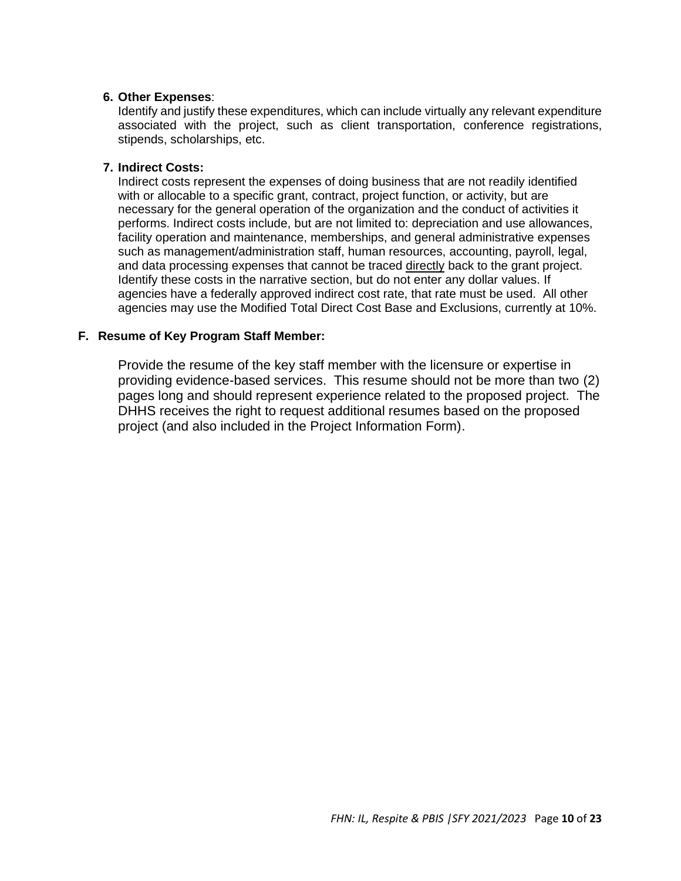#### **6. Other Expenses**:

Identify and justify these expenditures, which can include virtually any relevant expenditure associated with the project, such as client transportation, conference registrations, stipends, scholarships, etc.

#### **7. Indirect Costs:**

Indirect costs represent the expenses of doing business that are not readily identified with or allocable to a specific grant, contract, project function, or activity, but are necessary for the general operation of the organization and the conduct of activities it performs. Indirect costs include, but are not limited to: depreciation and use allowances, facility operation and maintenance, memberships, and general administrative expenses such as management/administration staff, human resources, accounting, payroll, legal, and data processing expenses that cannot be traced directly back to the grant project. Identify these costs in the narrative section, but do not enter any dollar values. If agencies have a federally approved indirect cost rate, that rate must be used. All other agencies may use the Modified Total Direct Cost Base and Exclusions, currently at 10%.

#### **F. Resume of Key Program Staff Member:**

Provide the resume of the key staff member with the licensure or expertise in providing evidence-based services. This resume should not be more than two (2) pages long and should represent experience related to the proposed project. The DHHS receives the right to request additional resumes based on the proposed project (and also included in the Project Information Form).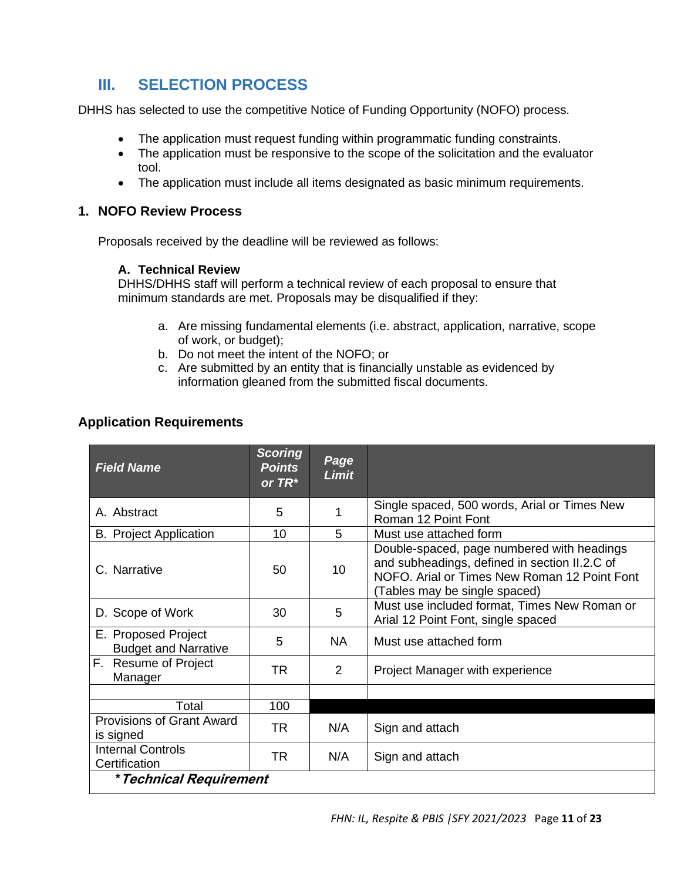## **III. SELECTION PROCESS**

DHHS has selected to use the competitive Notice of Funding Opportunity (NOFO) process.

- The application must request funding within programmatic funding constraints.
- The application must be responsive to the scope of the solicitation and the evaluator tool.
- The application must include all items designated as basic minimum requirements.

#### **1. NOFO Review Process**

Proposals received by the deadline will be reviewed as follows:

#### **A. Technical Review**

DHHS/DHHS staff will perform a technical review of each proposal to ensure that minimum standards are met. Proposals may be disqualified if they:

- a. Are missing fundamental elements (i.e. abstract, application, narrative, scope of work, or budget);
- b. Do not meet the intent of the NOFO; or
- c. Are submitted by an entity that is financially unstable as evidenced by information gleaned from the submitted fiscal documents.

|  |  | <b>Application Requirements</b> |  |
|--|--|---------------------------------|--|
|  |  |                                 |  |

| <b>Field Name</b>                                  | <b>Scoring</b><br><b>Points</b><br>or $TR^*$ | Page<br><b>Limit</b> |                                                                                                                                                                              |
|----------------------------------------------------|----------------------------------------------|----------------------|------------------------------------------------------------------------------------------------------------------------------------------------------------------------------|
| A. Abstract                                        | 5                                            |                      | Single spaced, 500 words, Arial or Times New<br>Roman 12 Point Font                                                                                                          |
| <b>B.</b> Project Application                      | 10                                           | 5                    | Must use attached form                                                                                                                                                       |
| C. Narrative                                       | 50                                           | 10                   | Double-spaced, page numbered with headings<br>and subheadings, defined in section II.2.C of<br>NOFO. Arial or Times New Roman 12 Point Font<br>(Tables may be single spaced) |
| D. Scope of Work                                   | 30                                           | 5                    | Must use included format, Times New Roman or<br>Arial 12 Point Font, single spaced                                                                                           |
| E. Proposed Project<br><b>Budget and Narrative</b> | 5                                            | <b>NA</b>            | Must use attached form                                                                                                                                                       |
| F. Resume of Project<br>Manager                    | <b>TR</b>                                    | 2                    | Project Manager with experience                                                                                                                                              |
|                                                    |                                              |                      |                                                                                                                                                                              |
| Total                                              | 100                                          |                      |                                                                                                                                                                              |
| <b>Provisions of Grant Award</b><br>is signed      | <b>TR</b>                                    | N/A                  | Sign and attach                                                                                                                                                              |
| <b>Internal Controls</b><br>Certification          | TR                                           | N/A                  | Sign and attach                                                                                                                                                              |
| * Technical Requirement                            |                                              |                      |                                                                                                                                                                              |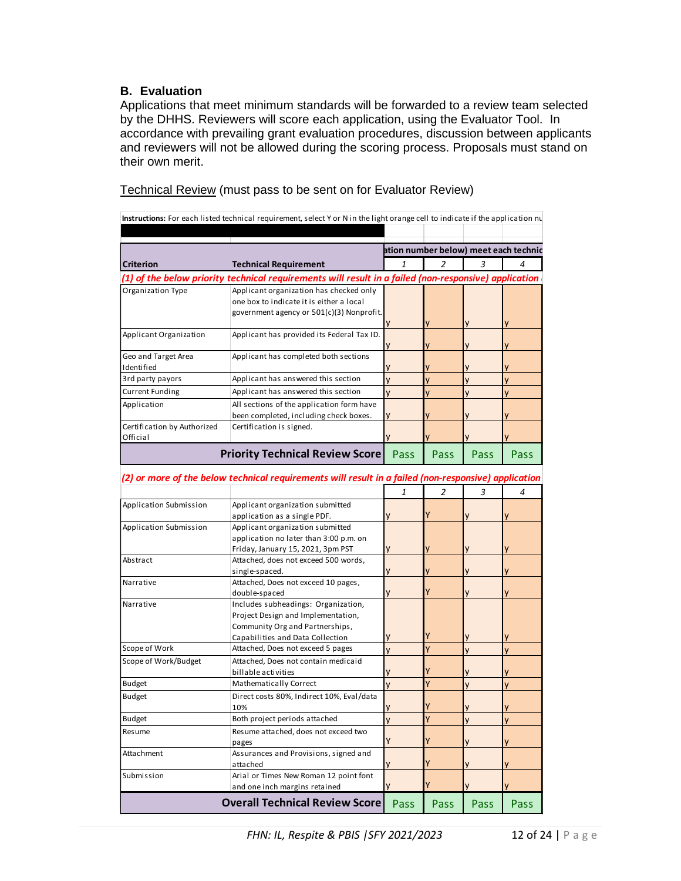#### **B. Evaluation**

Applications that meet minimum standards will be forwarded to a review team selected by the DHHS. Reviewers will score each application, using the Evaluator Tool. In accordance with prevailing grant evaluation procedures, discussion between applicants and reviewers will not be allowed during the scoring process. Proposals must stand on their own merit.

| Technical Review (must pass to be sent on for Evaluator Review) |  |  |  |  |  |  |
|-----------------------------------------------------------------|--|--|--|--|--|--|
|-----------------------------------------------------------------|--|--|--|--|--|--|

| Instructions: For each listed technical requirement, select Y or N in the light orange cell to indicate if the application nu |                                                                                                       |                |                |          |                                       |
|-------------------------------------------------------------------------------------------------------------------------------|-------------------------------------------------------------------------------------------------------|----------------|----------------|----------|---------------------------------------|
|                                                                                                                               |                                                                                                       |                |                |          |                                       |
|                                                                                                                               |                                                                                                       |                |                |          | ation number below) meet each technic |
| <b>Criterion</b>                                                                                                              | <b>Technical Requirement</b>                                                                          | $\mathbf{1}$   | $\overline{2}$ | 3        |                                       |
|                                                                                                                               | (1) of the below priority technical requirements will result in a failed (non-responsive) application |                |                |          |                                       |
| Organization Type                                                                                                             | Applicant organization has checked only                                                               |                |                |          |                                       |
|                                                                                                                               | one box to indicate it is either a local                                                              |                |                |          |                                       |
|                                                                                                                               | government agency or 501(c)(3) Nonprofit.                                                             |                |                |          |                                       |
| Applicant Organization                                                                                                        | Applicant has provided its Federal Tax ID.                                                            |                |                |          |                                       |
|                                                                                                                               |                                                                                                       |                |                |          |                                       |
| Geo and Target Area                                                                                                           | Applicant has completed both sections                                                                 |                |                |          |                                       |
| Identified                                                                                                                    |                                                                                                       |                |                |          |                                       |
| 3rd party payors                                                                                                              | Applicant has answered this section                                                                   | V              |                | V        |                                       |
| <b>Current Funding</b>                                                                                                        | Applicant has answered this section                                                                   | V              | V              | V        | V                                     |
| Application                                                                                                                   | All sections of the application form have                                                             |                |                |          |                                       |
|                                                                                                                               | been completed, including check boxes.                                                                |                |                |          |                                       |
| Certification by Authorized<br>Official                                                                                       | Certification is signed.                                                                              |                |                |          |                                       |
|                                                                                                                               |                                                                                                       |                |                |          |                                       |
|                                                                                                                               | <b>Priority Technical Review Score</b>                                                                | Pass           | Pass           | Pass     | Pass                                  |
|                                                                                                                               |                                                                                                       |                |                |          |                                       |
|                                                                                                                               | (2) or more of the below technical requirements will result in a failed (non-responsive) application  |                |                |          |                                       |
|                                                                                                                               |                                                                                                       | $\mathbf{1}$   | $\overline{a}$ | 3        | 4                                     |
| Application Submission                                                                                                        | Applicant organization submitted                                                                      |                |                |          |                                       |
|                                                                                                                               | application as a single PDF.                                                                          |                |                |          |                                       |
| Application Submission                                                                                                        | Applicant organization submitted                                                                      |                |                |          |                                       |
|                                                                                                                               | application no later than 3:00 p.m. on<br>Friday, January 15, 2021, 3pm PST                           | y              |                |          |                                       |
| Abstract                                                                                                                      | Attached, does not exceed 500 words,                                                                  |                |                |          |                                       |
|                                                                                                                               | single-spaced.                                                                                        |                |                |          |                                       |
| Narrative                                                                                                                     | Attached, Does not exceed 10 pages,                                                                   |                |                |          |                                       |
|                                                                                                                               | double-spaced                                                                                         |                |                |          |                                       |
| Narrative                                                                                                                     | Includes subheadings: Organization,                                                                   |                |                |          |                                       |
|                                                                                                                               | Project Design and Implementation,                                                                    |                |                |          |                                       |
|                                                                                                                               | Community Org and Partnerships,                                                                       |                |                |          |                                       |
|                                                                                                                               | Capabilities and Data Collection                                                                      |                |                |          |                                       |
| Scope of Work                                                                                                                 | Attached, Does not exceed 5 pages                                                                     | $\overline{V}$ | v              | V        | V                                     |
| Scope of Work/Budget                                                                                                          | Attached, Does not contain medicaid                                                                   |                |                |          |                                       |
|                                                                                                                               | billable activities                                                                                   |                |                |          |                                       |
| <b>Budget</b>                                                                                                                 | Mathematically Correct                                                                                |                |                |          | V                                     |
| <b>Budget</b>                                                                                                                 | Direct costs 80%, Indirect 10%, Eval/data<br>10%                                                      |                | Y              | <b>V</b> |                                       |
| <b>Budget</b>                                                                                                                 | Both project periods attached                                                                         | V              | Y              | V        | V                                     |
| Resume                                                                                                                        | Resume attached, does not exceed two                                                                  |                |                |          |                                       |
|                                                                                                                               | pages                                                                                                 |                |                |          |                                       |
| Attachment                                                                                                                    | Assurances and Provisions, signed and                                                                 |                |                |          |                                       |
|                                                                                                                               | attached                                                                                              |                |                |          |                                       |
| Submission                                                                                                                    | Arial or Times New Roman 12 point font<br>and one inch margins retained                               | ۷              |                |          |                                       |
|                                                                                                                               |                                                                                                       |                |                |          |                                       |
|                                                                                                                               | <b>Overall Technical Review Score</b>                                                                 | Pass           | Pass           | Pass     | Pass                                  |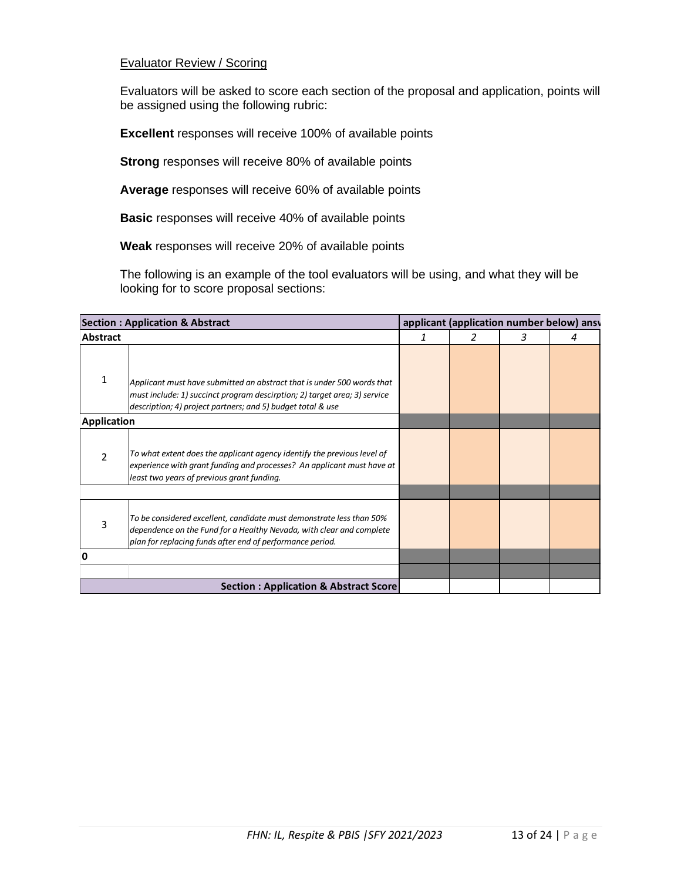#### Evaluator Review / Scoring

Evaluators will be asked to score each section of the proposal and application, points will be assigned using the following rubric:

**Excellent** responses will receive 100% of available points

**Strong** responses will receive 80% of available points

**Average** responses will receive 60% of available points

**Basic** responses will receive 40% of available points

**Weak** responses will receive 20% of available points

The following is an example of the tool evaluators will be using, and what they will be looking for to score proposal sections:

|             | <b>Section: Application &amp; Abstract</b>                                                                                                                                                                         |   | applicant (application number below) ansy |   |   |
|-------------|--------------------------------------------------------------------------------------------------------------------------------------------------------------------------------------------------------------------|---|-------------------------------------------|---|---|
| Abstract    |                                                                                                                                                                                                                    | 1 |                                           | 3 | 4 |
|             | Applicant must have submitted an abstract that is under 500 words that<br>must include: 1) succinct program descirption; 2) target area; 3) service<br>description; 4) project partners; and 5) budget total & use |   |                                           |   |   |
| Application |                                                                                                                                                                                                                    |   |                                           |   |   |
| 2           | To what extent does the applicant agency identify the previous level of<br>experience with grant funding and processes? An applicant must have at<br>least two years of previous grant funding.                    |   |                                           |   |   |
| 3           | To be considered excellent, candidate must demonstrate less than 50%<br>dependence on the Fund for a Healthy Nevada, with clear and complete<br>plan for replacing funds after end of performance period.          |   |                                           |   |   |
| 0           |                                                                                                                                                                                                                    |   |                                           |   |   |
|             |                                                                                                                                                                                                                    |   |                                           |   |   |
|             | Section: Application & Abstract Score                                                                                                                                                                              |   |                                           |   |   |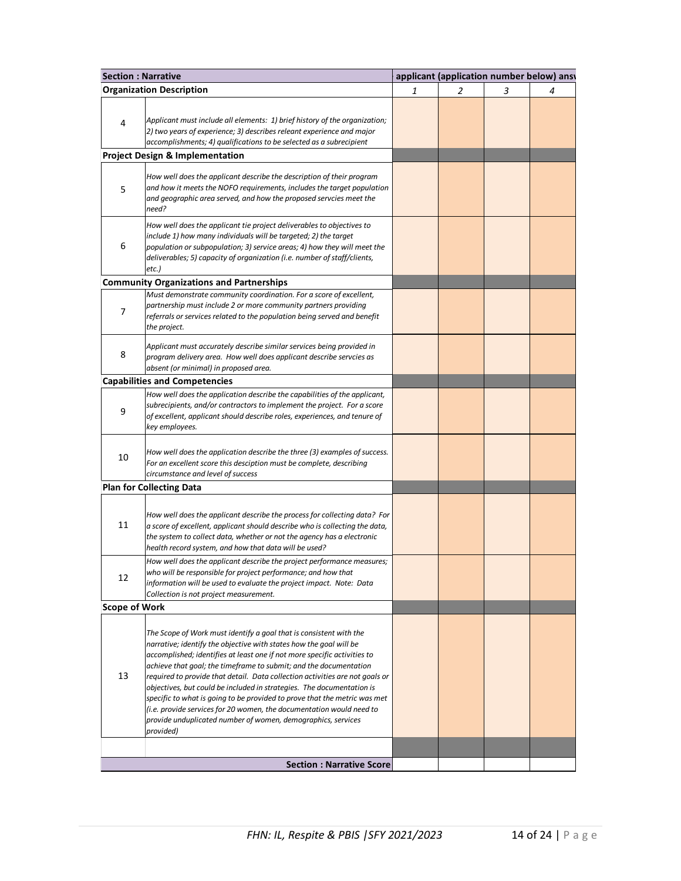| <b>Section: Narrative</b> |                                                                                                                                                                                                                                                                                                                                                                                                                                                                                                                                                                                                                                                                                      |   | applicant (application number below) ansy |   |   |  |  |
|---------------------------|--------------------------------------------------------------------------------------------------------------------------------------------------------------------------------------------------------------------------------------------------------------------------------------------------------------------------------------------------------------------------------------------------------------------------------------------------------------------------------------------------------------------------------------------------------------------------------------------------------------------------------------------------------------------------------------|---|-------------------------------------------|---|---|--|--|
|                           | <b>Organization Description</b>                                                                                                                                                                                                                                                                                                                                                                                                                                                                                                                                                                                                                                                      | 1 | $\overline{2}$                            | 3 | 4 |  |  |
| 4                         | Applicant must include all elements: 1) brief history of the organization;<br>2) two years of experience; 3) describes releant experience and major<br>accomplishments; 4) qualifications to be selected as a subrecipient                                                                                                                                                                                                                                                                                                                                                                                                                                                           |   |                                           |   |   |  |  |
|                           | <b>Project Design &amp; Implementation</b>                                                                                                                                                                                                                                                                                                                                                                                                                                                                                                                                                                                                                                           |   |                                           |   |   |  |  |
| 5                         | How well does the applicant describe the description of their program<br>and how it meets the NOFO requirements, includes the target population<br>and geographic area served, and how the proposed servcies meet the<br>need?                                                                                                                                                                                                                                                                                                                                                                                                                                                       |   |                                           |   |   |  |  |
| 6                         | How well does the applicant tie project deliverables to objectives to<br>include 1) how many individuals will be targeted; 2) the target<br>population or subpopulation; 3) service areas; 4) how they will meet the<br>deliverables; 5) capacity of organization (i.e. number of staff/clients,<br>etc.)                                                                                                                                                                                                                                                                                                                                                                            |   |                                           |   |   |  |  |
|                           | <b>Community Organizations and Partnerships</b>                                                                                                                                                                                                                                                                                                                                                                                                                                                                                                                                                                                                                                      |   |                                           |   |   |  |  |
| 7                         | Must demonstrate community coordination. For a score of excellent,<br>partnership must include 2 or more community partners providing<br>referrals or services related to the population being served and benefit<br>the project.                                                                                                                                                                                                                                                                                                                                                                                                                                                    |   |                                           |   |   |  |  |
| 8                         | Applicant must accurately describe similar services being provided in<br>program delivery area. How well does applicant describe servcies as<br>absent (or minimal) in proposed area.                                                                                                                                                                                                                                                                                                                                                                                                                                                                                                |   |                                           |   |   |  |  |
|                           | <b>Capabilities and Competencies</b>                                                                                                                                                                                                                                                                                                                                                                                                                                                                                                                                                                                                                                                 |   |                                           |   |   |  |  |
| 9                         | How well does the application describe the capabilities of the applicant,<br>subrecipients, and/or contractors to implement the project. For a score<br>of excellent, applicant should describe roles, experiences, and tenure of<br>key employees.                                                                                                                                                                                                                                                                                                                                                                                                                                  |   |                                           |   |   |  |  |
| 10                        | How well does the application describe the three (3) examples of success.<br>For an excellent score this desciption must be complete, describing<br>circumstance and level of success                                                                                                                                                                                                                                                                                                                                                                                                                                                                                                |   |                                           |   |   |  |  |
|                           | <b>Plan for Collecting Data</b>                                                                                                                                                                                                                                                                                                                                                                                                                                                                                                                                                                                                                                                      |   |                                           |   |   |  |  |
| 11                        | How well does the applicant describe the process for collecting data? For<br>a score of excellent, applicant should describe who is collecting the data,<br>the system to collect data, whether or not the agency has a electronic<br>health record system, and how that data will be used?                                                                                                                                                                                                                                                                                                                                                                                          |   |                                           |   |   |  |  |
| 12                        | How well does the applicant describe the project performance measures;<br>who will be responsible for project performance; and how that<br>information will be used to evaluate the project impact. Note: Data<br>Collection is not project measurement.                                                                                                                                                                                                                                                                                                                                                                                                                             |   |                                           |   |   |  |  |
| <b>Scope of Work</b>      |                                                                                                                                                                                                                                                                                                                                                                                                                                                                                                                                                                                                                                                                                      |   |                                           |   |   |  |  |
| 13                        | The Scope of Work must identify a goal that is consistent with the<br>narrative; identify the objective with states how the goal will be<br>accomplished; identifies at least one if not more specific activities to<br>achieve that goal; the timeframe to submit; and the documentation<br>required to provide that detail. Data collection activities are not goals or<br>objectives, but could be included in strategies. The documentation is<br>specific to what is going to be provided to prove that the metric was met<br>(i.e. provide services for 20 women, the documentation would need to<br>provide unduplicated number of women, demographics, services<br>provided) |   |                                           |   |   |  |  |
|                           |                                                                                                                                                                                                                                                                                                                                                                                                                                                                                                                                                                                                                                                                                      |   |                                           |   |   |  |  |
|                           | <b>Section : Narrative Score</b>                                                                                                                                                                                                                                                                                                                                                                                                                                                                                                                                                                                                                                                     |   |                                           |   |   |  |  |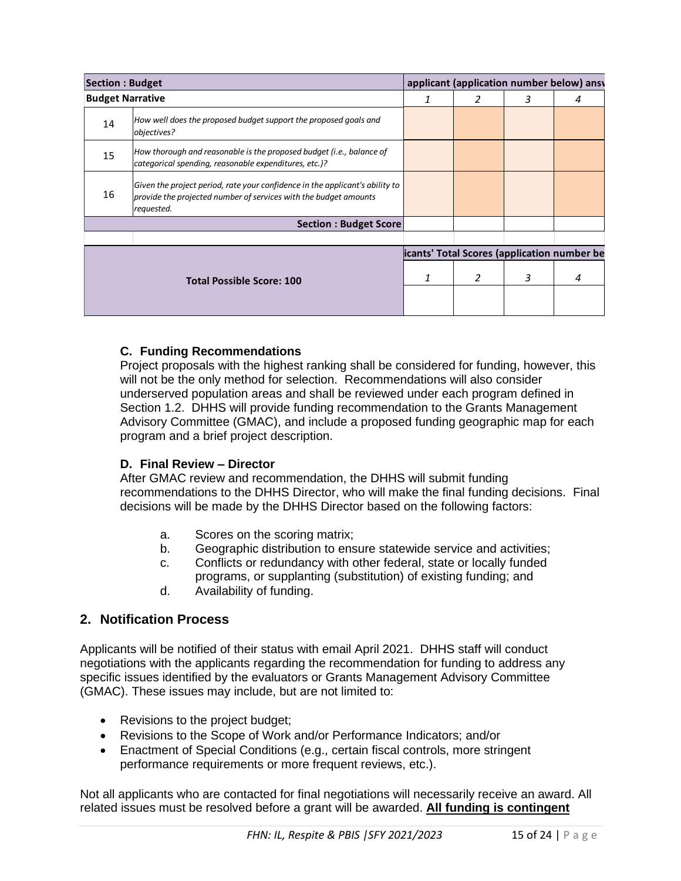|                         | <b>Section: Budget</b>                          |                                                                                                                                                                                                                                                                                                                                                                                                                                                                                                                                                                                                        |   | applicant (application number below) ansv   |   |   |  |
|-------------------------|-------------------------------------------------|--------------------------------------------------------------------------------------------------------------------------------------------------------------------------------------------------------------------------------------------------------------------------------------------------------------------------------------------------------------------------------------------------------------------------------------------------------------------------------------------------------------------------------------------------------------------------------------------------------|---|---------------------------------------------|---|---|--|
| <b>Budget Narrative</b> |                                                 |                                                                                                                                                                                                                                                                                                                                                                                                                                                                                                                                                                                                        | 1 | 2                                           | 3 | 4 |  |
| 14                      | objectives?                                     | How well does the proposed budget support the proposed goals and                                                                                                                                                                                                                                                                                                                                                                                                                                                                                                                                       |   |                                             |   |   |  |
| 15                      |                                                 | How thorough and reasonable is the proposed budget (i.e., balance of<br>categorical spending, reasonable expenditures, etc.)?                                                                                                                                                                                                                                                                                                                                                                                                                                                                          |   |                                             |   |   |  |
| 16                      | requested.                                      | Given the project period, rate your confidence in the applicant's ability to<br>provide the projected number of services with the budget amounts                                                                                                                                                                                                                                                                                                                                                                                                                                                       |   |                                             |   |   |  |
|                         |                                                 | <b>Section: Budget Score</b>                                                                                                                                                                                                                                                                                                                                                                                                                                                                                                                                                                           |   |                                             |   |   |  |
|                         |                                                 |                                                                                                                                                                                                                                                                                                                                                                                                                                                                                                                                                                                                        |   |                                             |   |   |  |
|                         |                                                 |                                                                                                                                                                                                                                                                                                                                                                                                                                                                                                                                                                                                        |   | icants' Total Scores (application number be |   |   |  |
|                         |                                                 | <b>Total Possible Score: 100</b>                                                                                                                                                                                                                                                                                                                                                                                                                                                                                                                                                                       | 1 | 2                                           | 3 | 4 |  |
|                         |                                                 |                                                                                                                                                                                                                                                                                                                                                                                                                                                                                                                                                                                                        |   |                                             |   |   |  |
|                         | a.<br>b.<br>C.<br>d.<br>2. Notification Process | D. Final Review - Director<br>After GMAC review and recommendation, the DHHS will submit funding<br>recommendations to the DHHS Director, who will make the final funding decisions. Final<br>decisions will be made by the DHHS Director based on the following factors:<br>Scores on the scoring matrix;<br>Geographic distribution to ensure statewide service and activities;<br>Conflicts or redundancy with other federal, state or locally funded<br>programs, or supplanting (substitution) of existing funding; and<br>Availability of funding.                                               |   |                                             |   |   |  |
| ٠<br>$\bullet$          |                                                 | Applicants will be notified of their status with email April 2021. DHHS staff will conduct<br>negotiations with the applicants regarding the recommendation for funding to address any<br>specific issues identified by the evaluators or Grants Management Advisory Committee<br>(GMAC). These issues may include, but are not limited to:<br>Revisions to the project budget;<br>Revisions to the Scope of Work and/or Performance Indicators; and/or<br>Enactment of Special Conditions (e.g., certain fiscal controls, more stringent<br>performance requirements or more frequent reviews, etc.). |   |                                             |   |   |  |
|                         |                                                 | Not all applicants who are contacted for final negotiations will necessarily receive an award. All<br>related issues must be resolved before a grant will be awarded. All funding is contingent                                                                                                                                                                                                                                                                                                                                                                                                        |   |                                             |   |   |  |

## **C. Funding Recommendations**

### **D. Final Review – Director**

- a. Scores on the scoring matrix;
- b. Geographic distribution to ensure statewide service and activities;
- c. Conflicts or redundancy with other federal, state or locally funded
- programs, or supplanting (substitution) of existing funding; and d. Availability of funding.

### **2. Notification Process**

- Revisions to the project budget;
- Revisions to the Scope of Work and/or Performance Indicators; and/or
- Enactment of Special Conditions (e.g., certain fiscal controls, more stringent performance requirements or more frequent reviews, etc.).

Not all applicants who are contacted for final negotiations will necessarily receive an award. All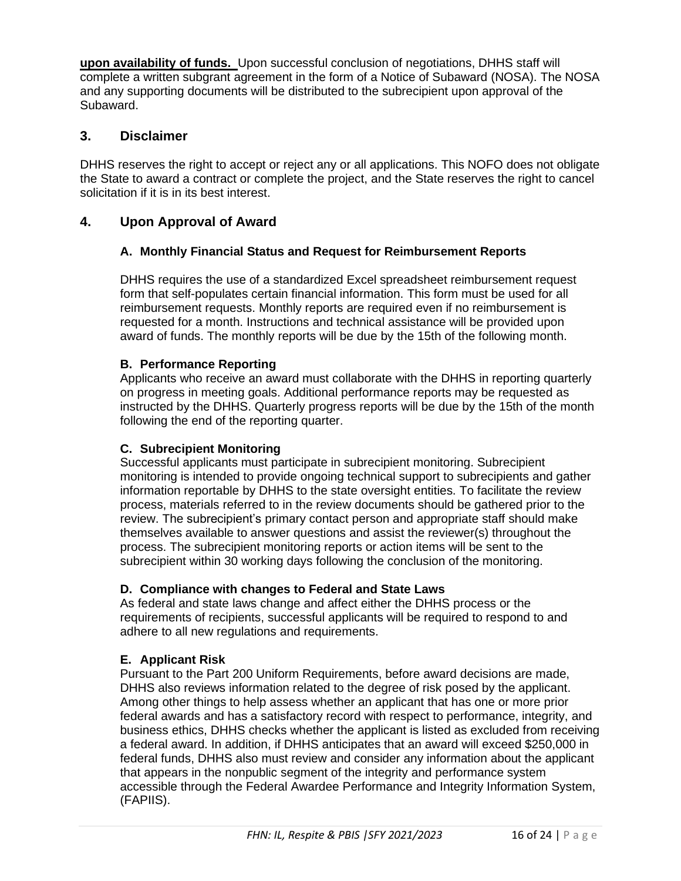**upon availability of funds.** Upon successful conclusion of negotiations, DHHS staff will complete a written subgrant agreement in the form of a Notice of Subaward (NOSA). The NOSA and any supporting documents will be distributed to the subrecipient upon approval of the Subaward.

## **3. Disclaimer**

DHHS reserves the right to accept or reject any or all applications. This NOFO does not obligate the State to award a contract or complete the project, and the State reserves the right to cancel solicitation if it is in its best interest.

## **4. Upon Approval of Award**

### **A. Monthly Financial Status and Request for Reimbursement Reports**

DHHS requires the use of a standardized Excel spreadsheet reimbursement request form that self-populates certain financial information. This form must be used for all reimbursement requests. Monthly reports are required even if no reimbursement is requested for a month. Instructions and technical assistance will be provided upon award of funds. The monthly reports will be due by the 15th of the following month.

#### **B. Performance Reporting**

Applicants who receive an award must collaborate with the DHHS in reporting quarterly on progress in meeting goals. Additional performance reports may be requested as instructed by the DHHS. Quarterly progress reports will be due by the 15th of the month following the end of the reporting quarter.

### **C. Subrecipient Monitoring**

Successful applicants must participate in subrecipient monitoring. Subrecipient monitoring is intended to provide ongoing technical support to subrecipients and gather information reportable by DHHS to the state oversight entities. To facilitate the review process, materials referred to in the review documents should be gathered prior to the review. The subrecipient's primary contact person and appropriate staff should make themselves available to answer questions and assist the reviewer(s) throughout the process. The subrecipient monitoring reports or action items will be sent to the subrecipient within 30 working days following the conclusion of the monitoring.

#### **D. Compliance with changes to Federal and State Laws**

As federal and state laws change and affect either the DHHS process or the requirements of recipients, successful applicants will be required to respond to and adhere to all new regulations and requirements.

### **E. Applicant Risk**

Pursuant to the Part 200 Uniform Requirements, before award decisions are made, DHHS also reviews information related to the degree of risk posed by the applicant. Among other things to help assess whether an applicant that has one or more prior federal awards and has a satisfactory record with respect to performance, integrity, and business ethics, DHHS checks whether the applicant is listed as excluded from receiving a federal award. In addition, if DHHS anticipates that an award will exceed \$250,000 in federal funds, DHHS also must review and consider any information about the applicant that appears in the nonpublic segment of the integrity and performance system accessible through the Federal Awardee Performance and Integrity Information System, (FAPIIS).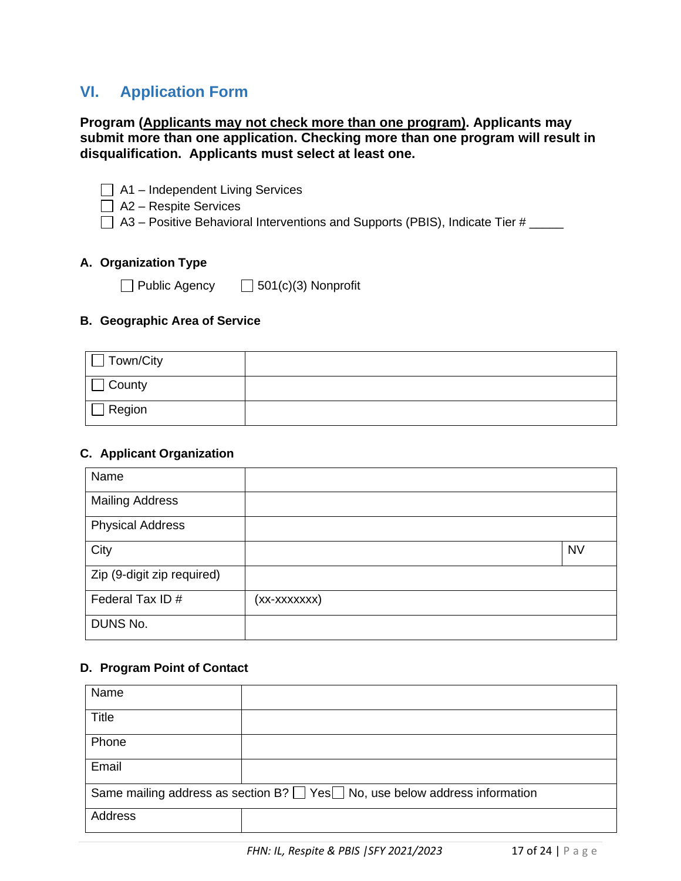## **VI. Application Form**

#### **Program (Applicants may not check more than one program). Applicants may submit more than one application. Checking more than one program will result in disqualification. Applicants must select at least one.**

- $\Box$  A1 Independent Living Services
- $\Box$  A2 Respite Services
- $\Box$  A3 Positive Behavioral Interventions and Supports (PBIS), Indicate Tier # \_\_\_\_\_

#### **A. Organization Type**

Public Agency  $\Box$  501(c)(3) Nonprofit

#### **B. Geographic Area of Service**

| Town/City     |  |
|---------------|--|
| $\Box$ County |  |
| Region        |  |

#### **C. Applicant Organization**

| Name                       |              |           |
|----------------------------|--------------|-----------|
| <b>Mailing Address</b>     |              |           |
| <b>Physical Address</b>    |              |           |
| City                       |              | <b>NV</b> |
| Zip (9-digit zip required) |              |           |
| Federal Tax ID#            | (xx-xxxxxxx) |           |
| DUNS No.                   |              |           |

#### **D. Program Point of Contact**

| Name                                                                                        |  |  |  |
|---------------------------------------------------------------------------------------------|--|--|--|
| <b>Title</b>                                                                                |  |  |  |
| Phone                                                                                       |  |  |  |
| Email                                                                                       |  |  |  |
| Same mailing address as section $B? \square Yes \square No$ , use below address information |  |  |  |
| Address                                                                                     |  |  |  |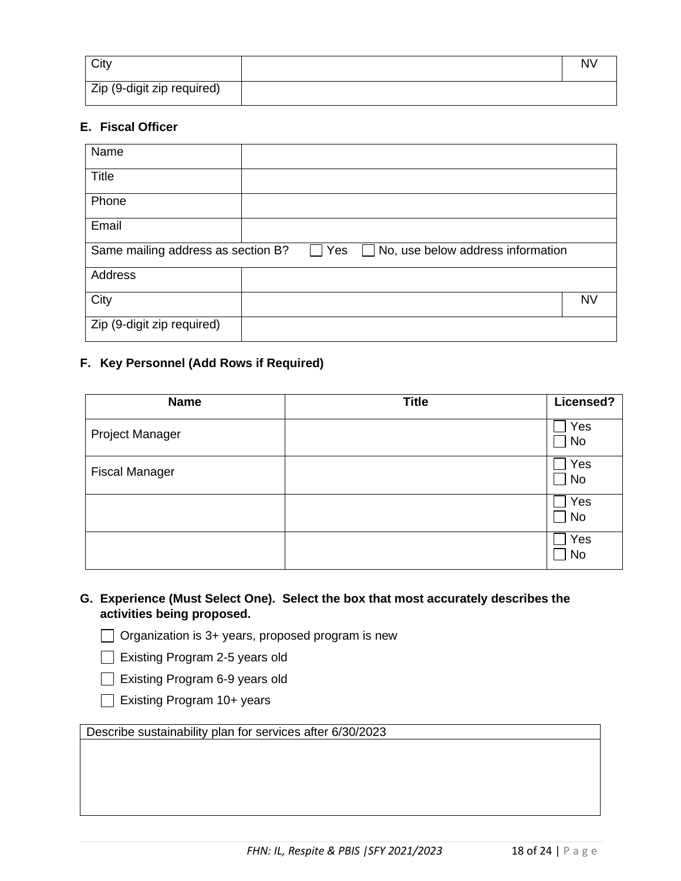| City                       | <b>NV</b> |
|----------------------------|-----------|
| Zip (9-digit zip required) |           |

#### **E. Fiscal Officer**

| Name                                                                                                  |  |           |
|-------------------------------------------------------------------------------------------------------|--|-----------|
| <b>Title</b>                                                                                          |  |           |
| Phone                                                                                                 |  |           |
| Email                                                                                                 |  |           |
| Same mailing address as section B?<br>Yes<br>$\Box$ No, use below address information<br>$\mathbf{I}$ |  |           |
| Address                                                                                               |  |           |
| City                                                                                                  |  | <b>NV</b> |
| Zip (9-digit zip required)                                                                            |  |           |

## **F. Key Personnel (Add Rows if Required)**

| <b>Name</b>            | <b>Title</b> | Licensed? |
|------------------------|--------------|-----------|
| <b>Project Manager</b> |              | Yes<br>No |
| <b>Fiscal Manager</b>  |              | Yes<br>No |
|                        |              | Yes<br>No |
|                        |              | Yes<br>No |

**G. Experience (Must Select One). Select the box that most accurately describes the activities being proposed.**

 $\Box$  Organization is 3+ years, proposed program is new

Existing Program 2-5 years old

Existing Program 6-9 years old

| Existing Program 10+ years |  |
|----------------------------|--|
|----------------------------|--|

Describe sustainability plan for services after 6/30/2023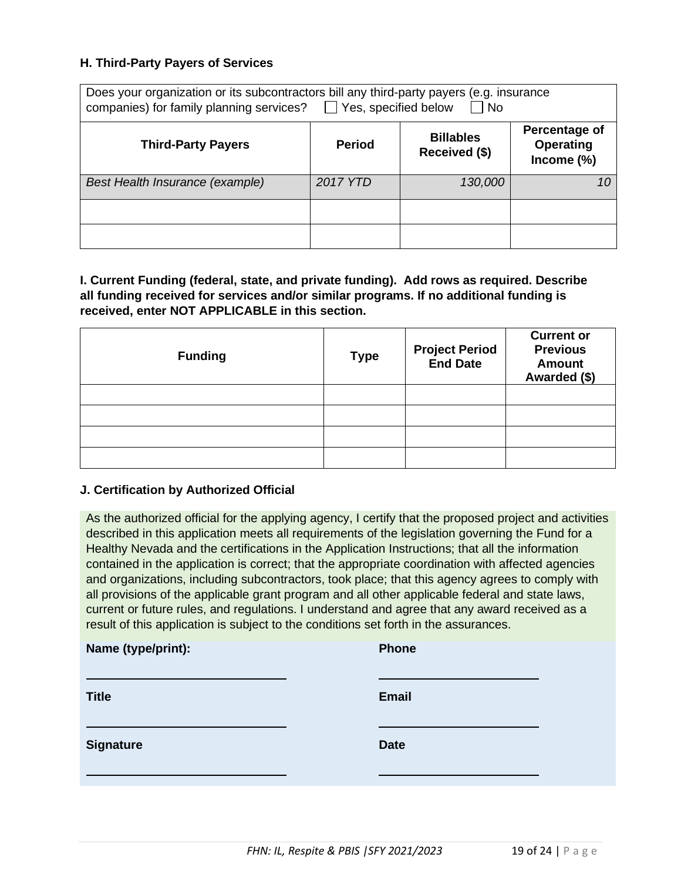#### **H. Third-Party Payers of Services**

| Does your organization or its subcontractors bill any third-party payers (e.g. insurance<br>$\Box$ Yes, specified below<br>companies) for family planning services?<br>$\blacksquare$ No |               |                                   |                                                 |
|------------------------------------------------------------------------------------------------------------------------------------------------------------------------------------------|---------------|-----------------------------------|-------------------------------------------------|
| <b>Third-Party Payers</b>                                                                                                                                                                | <b>Period</b> | <b>Billables</b><br>Received (\$) | Percentage of<br><b>Operating</b><br>Income (%) |
| Best Health Insurance (example)                                                                                                                                                          | 2017 YTD      | 130,000                           |                                                 |
|                                                                                                                                                                                          |               |                                   |                                                 |
|                                                                                                                                                                                          |               |                                   |                                                 |

**I. Current Funding (federal, state, and private funding). Add rows as required. Describe all funding received for services and/or similar programs. If no additional funding is received, enter NOT APPLICABLE in this section.**

| <b>Funding</b> | <b>Type</b> | <b>Project Period<br/>End Date</b> | <b>Current or</b><br><b>Previous</b><br><b>Amount</b><br>Awarded (\$) |
|----------------|-------------|------------------------------------|-----------------------------------------------------------------------|
|                |             |                                    |                                                                       |
|                |             |                                    |                                                                       |
|                |             |                                    |                                                                       |
|                |             |                                    |                                                                       |

#### **J. Certification by Authorized Official**

As the authorized official for the applying agency, I certify that the proposed project and activities described in this application meets all requirements of the legislation governing the Fund for a Healthy Nevada and the certifications in the Application Instructions; that all the information contained in the application is correct; that the appropriate coordination with affected agencies and organizations, including subcontractors, took place; that this agency agrees to comply with all provisions of the applicable grant program and all other applicable federal and state laws, current or future rules, and regulations. I understand and agree that any award received as a result of this application is subject to the conditions set forth in the assurances.

| Name (type/print): | <b>Phone</b> |
|--------------------|--------------|
| <b>Title</b>       | <b>Email</b> |
| <b>Signature</b>   | <b>Date</b>  |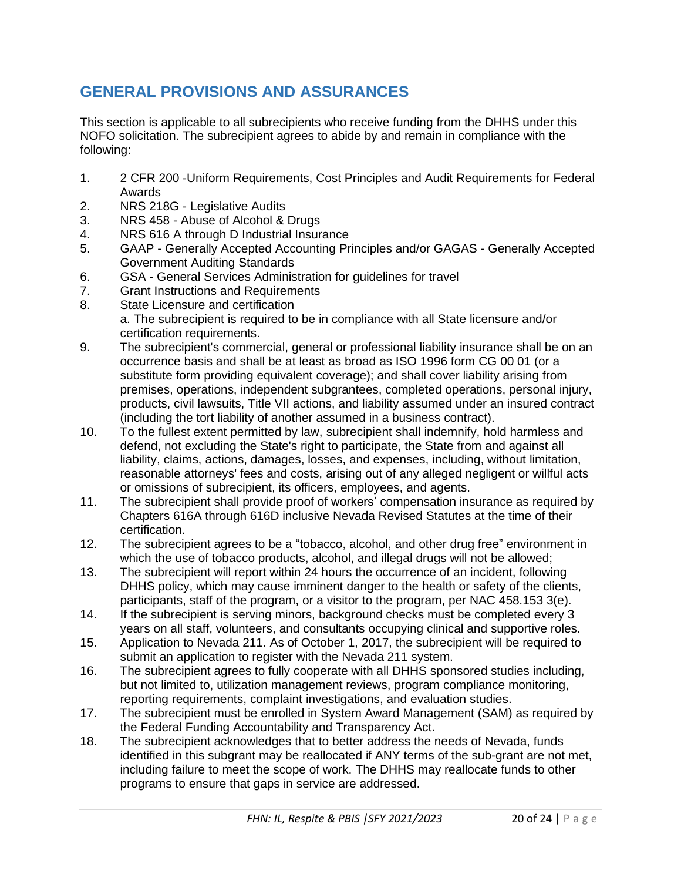## **GENERAL PROVISIONS AND ASSURANCES**

This section is applicable to all subrecipients who receive funding from the DHHS under this NOFO solicitation. The subrecipient agrees to abide by and remain in compliance with the following:

- 1. 2 CFR 200 -Uniform Requirements, Cost Principles and Audit Requirements for Federal Awards
- 2. NRS 218G Legislative Audits
- 3. NRS 458 Abuse of Alcohol & Drugs
- 4. NRS 616 A through D Industrial Insurance
- 5. GAAP Generally Accepted Accounting Principles and/or GAGAS Generally Accepted Government Auditing Standards
- 6. GSA General Services Administration for guidelines for travel
- 7. Grant Instructions and Requirements
- 8. State Licensure and certification a. The subrecipient is required to be in compliance with all State licensure and/or certification requirements.
- 9. The subrecipient's commercial, general or professional liability insurance shall be on an occurrence basis and shall be at least as broad as ISO 1996 form CG 00 01 (or a substitute form providing equivalent coverage); and shall cover liability arising from premises, operations, independent subgrantees, completed operations, personal injury, products, civil lawsuits, Title VII actions, and liability assumed under an insured contract (including the tort liability of another assumed in a business contract).
- 10. To the fullest extent permitted by law, subrecipient shall indemnify, hold harmless and defend, not excluding the State's right to participate, the State from and against all liability, claims, actions, damages, losses, and expenses, including, without limitation, reasonable attorneys' fees and costs, arising out of any alleged negligent or willful acts or omissions of subrecipient, its officers, employees, and agents.
- 11. The subrecipient shall provide proof of workers' compensation insurance as required by Chapters 616A through 616D inclusive Nevada Revised Statutes at the time of their certification.
- 12. The subrecipient agrees to be a "tobacco, alcohol, and other drug free" environment in which the use of tobacco products, alcohol, and illegal drugs will not be allowed;
- 13. The subrecipient will report within 24 hours the occurrence of an incident, following DHHS policy, which may cause imminent danger to the health or safety of the clients, participants, staff of the program, or a visitor to the program, per NAC 458.153 3(e).
- 14. If the subrecipient is serving minors, background checks must be completed every 3 years on all staff, volunteers, and consultants occupying clinical and supportive roles.
- 15. Application to Nevada 211. As of October 1, 2017, the subrecipient will be required to submit an application to register with the Nevada 211 system.
- 16. The subrecipient agrees to fully cooperate with all DHHS sponsored studies including, but not limited to, utilization management reviews, program compliance monitoring, reporting requirements, complaint investigations, and evaluation studies.
- 17. The subrecipient must be enrolled in System Award Management (SAM) as required by the Federal Funding Accountability and Transparency Act.
- 18. The subrecipient acknowledges that to better address the needs of Nevada, funds identified in this subgrant may be reallocated if ANY terms of the sub-grant are not met, including failure to meet the scope of work. The DHHS may reallocate funds to other programs to ensure that gaps in service are addressed.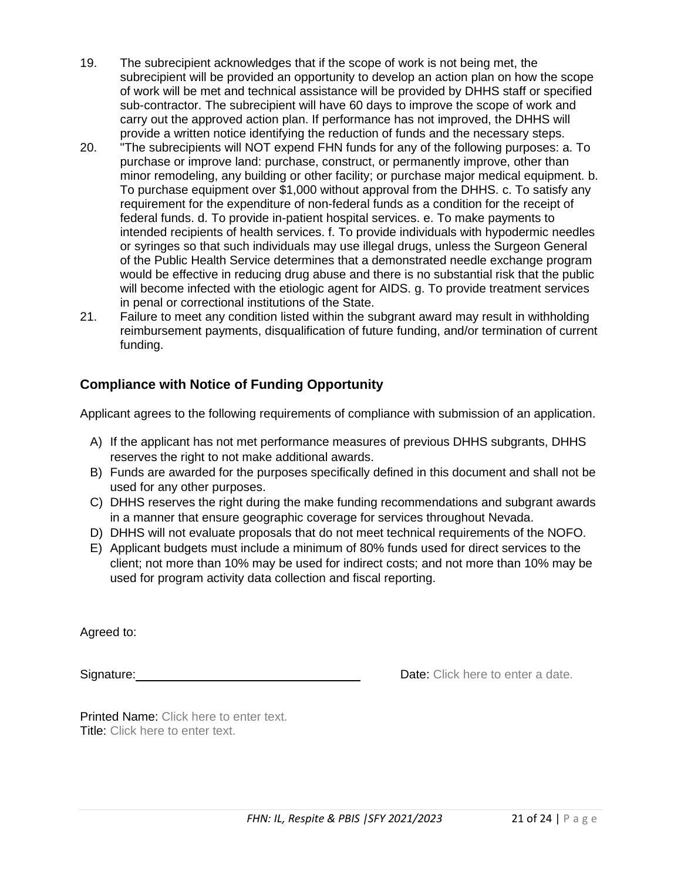- 19. The subrecipient acknowledges that if the scope of work is not being met, the subrecipient will be provided an opportunity to develop an action plan on how the scope of work will be met and technical assistance will be provided by DHHS staff or specified sub-contractor. The subrecipient will have 60 days to improve the scope of work and carry out the approved action plan. If performance has not improved, the DHHS will provide a written notice identifying the reduction of funds and the necessary steps.
- 20. "The subrecipients will NOT expend FHN funds for any of the following purposes: a. To purchase or improve land: purchase, construct, or permanently improve, other than minor remodeling, any building or other facility; or purchase major medical equipment. b. To purchase equipment over \$1,000 without approval from the DHHS. c. To satisfy any requirement for the expenditure of non-federal funds as a condition for the receipt of federal funds. d. To provide in-patient hospital services. e. To make payments to intended recipients of health services. f. To provide individuals with hypodermic needles or syringes so that such individuals may use illegal drugs, unless the Surgeon General of the Public Health Service determines that a demonstrated needle exchange program would be effective in reducing drug abuse and there is no substantial risk that the public will become infected with the etiologic agent for AIDS. g. To provide treatment services in penal or correctional institutions of the State.
- 21. Failure to meet any condition listed within the subgrant award may result in withholding reimbursement payments, disqualification of future funding, and/or termination of current funding.

## **Compliance with Notice of Funding Opportunity**

Applicant agrees to the following requirements of compliance with submission of an application.

- A) If the applicant has not met performance measures of previous DHHS subgrants, DHHS reserves the right to not make additional awards.
- B) Funds are awarded for the purposes specifically defined in this document and shall not be used for any other purposes.
- C) DHHS reserves the right during the make funding recommendations and subgrant awards in a manner that ensure geographic coverage for services throughout Nevada.
- D) DHHS will not evaluate proposals that do not meet technical requirements of the NOFO.
- E) Applicant budgets must include a minimum of 80% funds used for direct services to the client; not more than 10% may be used for indirect costs; and not more than 10% may be used for program activity data collection and fiscal reporting.

Agreed to:

Signature: **Date:** Click here to enter a date.

Printed Name: Click here to enter text. Title: Click here to enter text.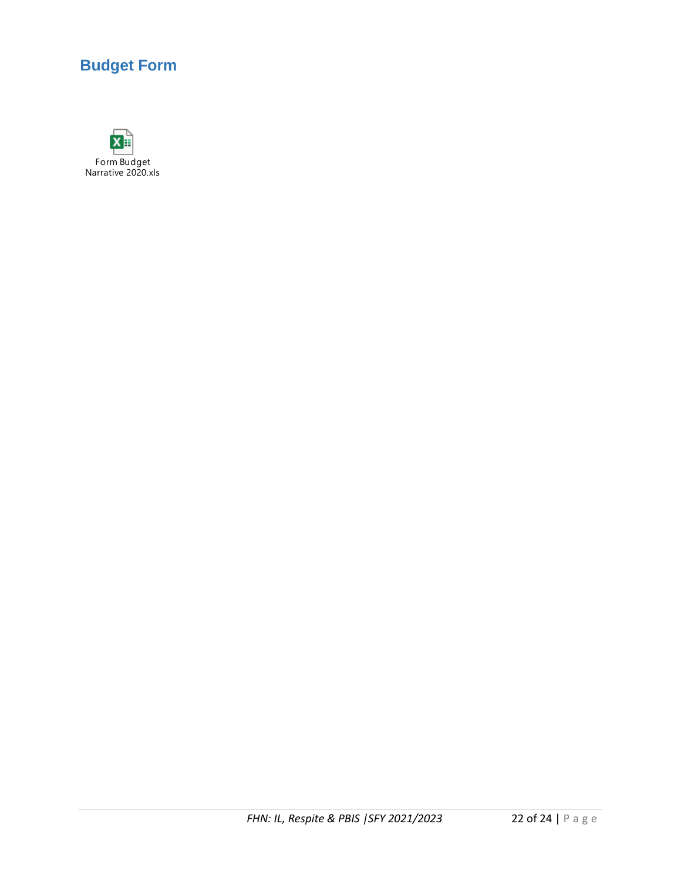# **Budget Form**